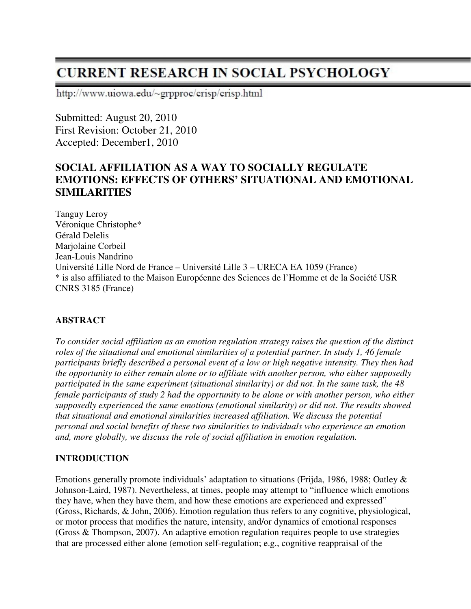# **CURRENT RESEARCH IN SOCIAL PSYCHOLOGY**

http://www.uiowa.edu/~grpproc/crisp/crisp.html

Submitted: August 20, 2010 First Revision: October 21, 2010 Accepted: December1, 2010

## **SOCIAL AFFILIATION AS A WAY TO SOCIALLY REGULATE EMOTIONS: EFFECTS OF OTHERS' SITUATIONAL AND EMOTIONAL SIMILARITIES**

Tanguy Leroy Véronique Christophe\* Gérald Delelis Marjolaine Corbeil Jean-Louis Nandrino Université Lille Nord de France – Université Lille 3 – URECA EA 1059 (France) \* is also affiliated to the Maison Européenne des Sciences de l'Homme et de la Société USR CNRS 3185 (France)

## **ABSTRACT**

*To consider social affiliation as an emotion regulation strategy raises the question of the distinct roles of the situational and emotional similarities of a potential partner. In study 1, 46 female participants briefly described a personal event of a low or high negative intensity. They then had the opportunity to either remain alone or to affiliate with another person, who either supposedly participated in the same experiment (situational similarity) or did not. In the same task, the 48 female participants of study 2 had the opportunity to be alone or with another person, who either supposedly experienced the same emotions (emotional similarity) or did not. The results showed that situational and emotional similarities increased affiliation. We discuss the potential personal and social benefits of these two similarities to individuals who experience an emotion and, more globally, we discuss the role of social affiliation in emotion regulation.* 

## **INTRODUCTION**

Emotions generally promote individuals' adaptation to situations (Frijda, 1986, 1988; Oatley & Johnson-Laird, 1987). Nevertheless, at times, people may attempt to "influence which emotions they have, when they have them, and how these emotions are experienced and expressed" (Gross, Richards, & John, 2006). Emotion regulation thus refers to any cognitive, physiological, or motor process that modifies the nature, intensity, and/or dynamics of emotional responses (Gross & Thompson, 2007). An adaptive emotion regulation requires people to use strategies that are processed either alone (emotion self-regulation; e.g., cognitive reappraisal of the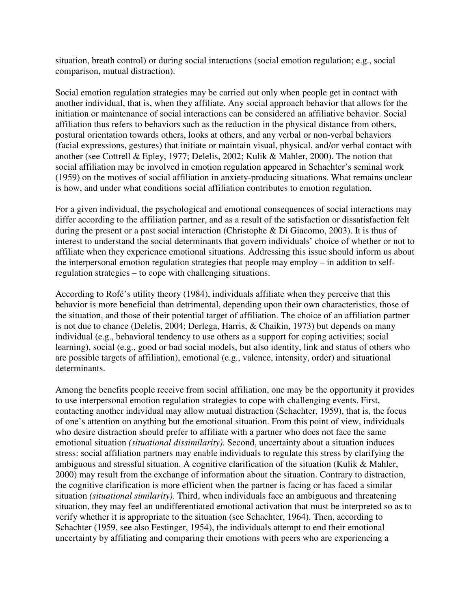situation, breath control) or during social interactions (social emotion regulation; e.g., social comparison, mutual distraction).

Social emotion regulation strategies may be carried out only when people get in contact with another individual, that is, when they affiliate. Any social approach behavior that allows for the initiation or maintenance of social interactions can be considered an affiliative behavior. Social affiliation thus refers to behaviors such as the reduction in the physical distance from others, postural orientation towards others, looks at others, and any verbal or non-verbal behaviors (facial expressions, gestures) that initiate or maintain visual, physical, and/or verbal contact with another (see Cottrell & Epley, 1977; Delelis, 2002; Kulik & Mahler, 2000). The notion that social affiliation may be involved in emotion regulation appeared in Schachter's seminal work (1959) on the motives of social affiliation in anxiety-producing situations. What remains unclear is how, and under what conditions social affiliation contributes to emotion regulation.

For a given individual, the psychological and emotional consequences of social interactions may differ according to the affiliation partner, and as a result of the satisfaction or dissatisfaction felt during the present or a past social interaction (Christophe & Di Giacomo, 2003). It is thus of interest to understand the social determinants that govern individuals' choice of whether or not to affiliate when they experience emotional situations. Addressing this issue should inform us about the interpersonal emotion regulation strategies that people may employ – in addition to selfregulation strategies – to cope with challenging situations.

According to Rofé's utility theory (1984), individuals affiliate when they perceive that this behavior is more beneficial than detrimental, depending upon their own characteristics, those of the situation, and those of their potential target of affiliation. The choice of an affiliation partner is not due to chance (Delelis, 2004; Derlega, Harris, & Chaikin, 1973) but depends on many individual (e.g., behavioral tendency to use others as a support for coping activities; social learning), social (e.g., good or bad social models, but also identity, link and status of others who are possible targets of affiliation), emotional (e.g., valence, intensity, order) and situational determinants.

Among the benefits people receive from social affiliation, one may be the opportunity it provides to use interpersonal emotion regulation strategies to cope with challenging events. First, contacting another individual may allow mutual distraction (Schachter, 1959), that is, the focus of one's attention on anything but the emotional situation. From this point of view, individuals who desire distraction should prefer to affiliate with a partner who does not face the same emotional situation *(situational dissimilarity)*. Second, uncertainty about a situation induces stress: social affiliation partners may enable individuals to regulate this stress by clarifying the ambiguous and stressful situation. A cognitive clarification of the situation (Kulik & Mahler, 2000) may result from the exchange of information about the situation. Contrary to distraction, the cognitive clarification is more efficient when the partner is facing or has faced a similar situation *(situational similarity)*. Third, when individuals face an ambiguous and threatening situation, they may feel an undifferentiated emotional activation that must be interpreted so as to verify whether it is appropriate to the situation (see Schachter, 1964). Then, according to Schachter (1959, see also Festinger, 1954), the individuals attempt to end their emotional uncertainty by affiliating and comparing their emotions with peers who are experiencing a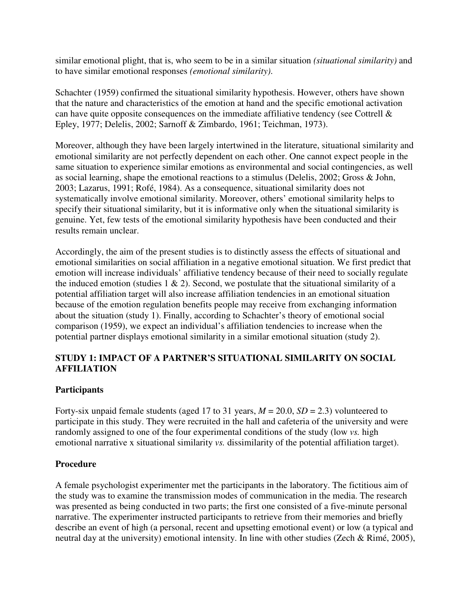similar emotional plight, that is, who seem to be in a similar situation *(situational similarity)* and to have similar emotional responses *(emotional similarity)*.

Schachter (1959) confirmed the situational similarity hypothesis. However, others have shown that the nature and characteristics of the emotion at hand and the specific emotional activation can have quite opposite consequences on the immediate affiliative tendency (see Cottrell  $\&$ Epley, 1977; Delelis, 2002; Sarnoff & Zimbardo, 1961; Teichman, 1973).

Moreover, although they have been largely intertwined in the literature, situational similarity and emotional similarity are not perfectly dependent on each other. One cannot expect people in the same situation to experience similar emotions as environmental and social contingencies, as well as social learning, shape the emotional reactions to a stimulus (Delelis, 2002; Gross & John, 2003; Lazarus, 1991; Rofé, 1984). As a consequence, situational similarity does not systematically involve emotional similarity. Moreover, others' emotional similarity helps to specify their situational similarity, but it is informative only when the situational similarity is genuine. Yet, few tests of the emotional similarity hypothesis have been conducted and their results remain unclear.

Accordingly, the aim of the present studies is to distinctly assess the effects of situational and emotional similarities on social affiliation in a negative emotional situation. We first predict that emotion will increase individuals' affiliative tendency because of their need to socially regulate the induced emotion (studies  $1 \& 2$ ). Second, we postulate that the situational similarity of a potential affiliation target will also increase affiliation tendencies in an emotional situation because of the emotion regulation benefits people may receive from exchanging information about the situation (study 1). Finally, according to Schachter's theory of emotional social comparison (1959), we expect an individual's affiliation tendencies to increase when the potential partner displays emotional similarity in a similar emotional situation (study 2).

## **STUDY 1: IMPACT OF A PARTNER'S SITUATIONAL SIMILARITY ON SOCIAL AFFILIATION**

#### **Participants**

Forty-six unpaid female students (aged 17 to 31 years,  $M = 20.0$ ,  $SD = 2.3$ ) volunteered to participate in this study. They were recruited in the hall and cafeteria of the university and were randomly assigned to one of the four experimental conditions of the study (low *vs.* high emotional narrative x situational similarity *vs.* dissimilarity of the potential affiliation target).

#### **Procedure**

A female psychologist experimenter met the participants in the laboratory. The fictitious aim of the study was to examine the transmission modes of communication in the media. The research was presented as being conducted in two parts; the first one consisted of a five-minute personal narrative. The experimenter instructed participants to retrieve from their memories and briefly describe an event of high (a personal, recent and upsetting emotional event) or low (a typical and neutral day at the university) emotional intensity. In line with other studies (Zech & Rimé, 2005),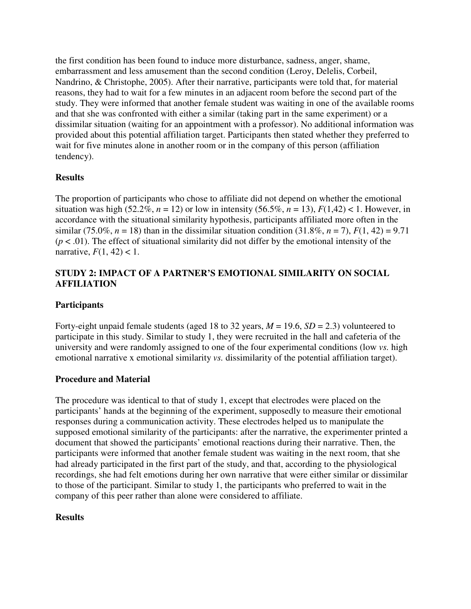the first condition has been found to induce more disturbance, sadness, anger, shame, embarrassment and less amusement than the second condition (Leroy, Delelis, Corbeil, Nandrino, & Christophe, 2005). After their narrative, participants were told that, for material reasons, they had to wait for a few minutes in an adjacent room before the second part of the study. They were informed that another female student was waiting in one of the available rooms and that she was confronted with either a similar (taking part in the same experiment) or a dissimilar situation (waiting for an appointment with a professor). No additional information was provided about this potential affiliation target. Participants then stated whether they preferred to wait for five minutes alone in another room or in the company of this person (affiliation tendency).

## **Results**

The proportion of participants who chose to affiliate did not depend on whether the emotional situation was high (52.2%,  $n = 12$ ) or low in intensity (56.5%,  $n = 13$ ),  $F(1,42) < 1$ . However, in accordance with the situational similarity hypothesis, participants affiliated more often in the similar (75.0%,  $n = 18$ ) than in the dissimilar situation condition (31.8%,  $n = 7$ ),  $F(1, 42) = 9.71$  $(p < .01)$ . The effect of situational similarity did not differ by the emotional intensity of the narrative,  $F(1, 42) < 1$ .

## **STUDY 2: IMPACT OF A PARTNER'S EMOTIONAL SIMILARITY ON SOCIAL AFFILIATION**

## **Participants**

Forty-eight unpaid female students (aged 18 to 32 years, *M* = 19.6, *SD* = 2.3) volunteered to participate in this study. Similar to study 1, they were recruited in the hall and cafeteria of the university and were randomly assigned to one of the four experimental conditions (low *vs.* high emotional narrative x emotional similarity *vs.* dissimilarity of the potential affiliation target).

## **Procedure and Material**

The procedure was identical to that of study 1, except that electrodes were placed on the participants' hands at the beginning of the experiment, supposedly to measure their emotional responses during a communication activity. These electrodes helped us to manipulate the supposed emotional similarity of the participants: after the narrative, the experimenter printed a document that showed the participants' emotional reactions during their narrative. Then, the participants were informed that another female student was waiting in the next room, that she had already participated in the first part of the study, and that, according to the physiological recordings, she had felt emotions during her own narrative that were either similar or dissimilar to those of the participant. Similar to study 1, the participants who preferred to wait in the company of this peer rather than alone were considered to affiliate.

## **Results**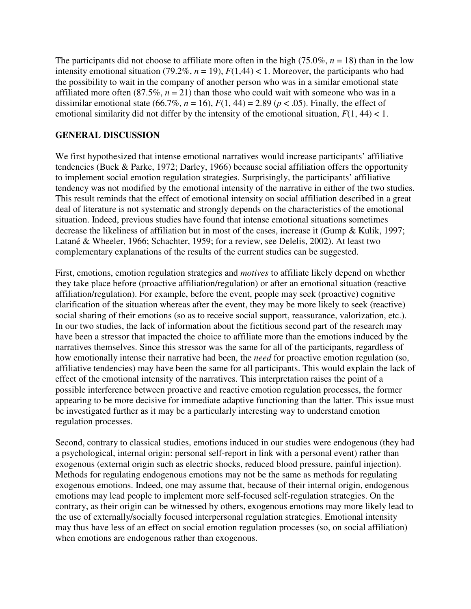The participants did not choose to affiliate more often in the high (75.0%,  $n = 18$ ) than in the low intensity emotional situation (79.2%,  $n = 19$ ),  $F(1,44) < 1$ . Moreover, the participants who had the possibility to wait in the company of another person who was in a similar emotional state affiliated more often  $(87.5\%, n = 21)$  than those who could wait with someone who was in a dissimilar emotional state (66.7%,  $n = 16$ ),  $F(1, 44) = 2.89$  ( $p < .05$ ). Finally, the effect of emotional similarity did not differ by the intensity of the emotional situation,  $F(1, 44) < 1$ .

## **GENERAL DISCUSSION**

We first hypothesized that intense emotional narratives would increase participants' affiliative tendencies (Buck & Parke, 1972; Darley, 1966) because social affiliation offers the opportunity to implement social emotion regulation strategies. Surprisingly, the participants' affiliative tendency was not modified by the emotional intensity of the narrative in either of the two studies. This result reminds that the effect of emotional intensity on social affiliation described in a great deal of literature is not systematic and strongly depends on the characteristics of the emotional situation. Indeed, previous studies have found that intense emotional situations sometimes decrease the likeliness of affiliation but in most of the cases, increase it (Gump & Kulik, 1997; Latané & Wheeler, 1966; Schachter, 1959; for a review, see Delelis, 2002). At least two complementary explanations of the results of the current studies can be suggested.

First, emotions, emotion regulation strategies and *motives* to affiliate likely depend on whether they take place before (proactive affiliation/regulation) or after an emotional situation (reactive affiliation/regulation). For example, before the event, people may seek (proactive) cognitive clarification of the situation whereas after the event, they may be more likely to seek (reactive) social sharing of their emotions (so as to receive social support, reassurance, valorization, etc.). In our two studies, the lack of information about the fictitious second part of the research may have been a stressor that impacted the choice to affiliate more than the emotions induced by the narratives themselves. Since this stressor was the same for all of the participants, regardless of how emotionally intense their narrative had been, the *need* for proactive emotion regulation (so, affiliative tendencies) may have been the same for all participants. This would explain the lack of effect of the emotional intensity of the narratives. This interpretation raises the point of a possible interference between proactive and reactive emotion regulation processes, the former appearing to be more decisive for immediate adaptive functioning than the latter. This issue must be investigated further as it may be a particularly interesting way to understand emotion regulation processes.

Second, contrary to classical studies, emotions induced in our studies were endogenous (they had a psychological, internal origin: personal self-report in link with a personal event) rather than exogenous (external origin such as electric shocks, reduced blood pressure, painful injection). Methods for regulating endogenous emotions may not be the same as methods for regulating exogenous emotions. Indeed, one may assume that, because of their internal origin, endogenous emotions may lead people to implement more self-focused self-regulation strategies. On the contrary, as their origin can be witnessed by others, exogenous emotions may more likely lead to the use of externally/socially focused interpersonal regulation strategies. Emotional intensity may thus have less of an effect on social emotion regulation processes (so, on social affiliation) when emotions are endogenous rather than exogenous.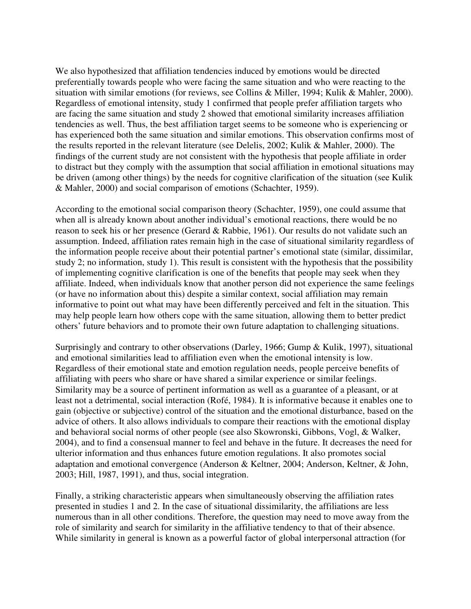We also hypothesized that affiliation tendencies induced by emotions would be directed preferentially towards people who were facing the same situation and who were reacting to the situation with similar emotions (for reviews, see Collins & Miller, 1994; Kulik & Mahler, 2000). Regardless of emotional intensity, study 1 confirmed that people prefer affiliation targets who are facing the same situation and study 2 showed that emotional similarity increases affiliation tendencies as well. Thus, the best affiliation target seems to be someone who is experiencing or has experienced both the same situation and similar emotions. This observation confirms most of the results reported in the relevant literature (see Delelis, 2002; Kulik & Mahler, 2000). The findings of the current study are not consistent with the hypothesis that people affiliate in order to distract but they comply with the assumption that social affiliation in emotional situations may be driven (among other things) by the needs for cognitive clarification of the situation (see Kulik & Mahler, 2000) and social comparison of emotions (Schachter, 1959).

According to the emotional social comparison theory (Schachter, 1959), one could assume that when all is already known about another individual's emotional reactions, there would be no reason to seek his or her presence (Gerard & Rabbie, 1961). Our results do not validate such an assumption. Indeed, affiliation rates remain high in the case of situational similarity regardless of the information people receive about their potential partner's emotional state (similar, dissimilar, study 2; no information, study 1). This result is consistent with the hypothesis that the possibility of implementing cognitive clarification is one of the benefits that people may seek when they affiliate. Indeed, when individuals know that another person did not experience the same feelings (or have no information about this) despite a similar context, social affiliation may remain informative to point out what may have been differently perceived and felt in the situation. This may help people learn how others cope with the same situation, allowing them to better predict others' future behaviors and to promote their own future adaptation to challenging situations.

Surprisingly and contrary to other observations (Darley, 1966; Gump & Kulik, 1997), situational and emotional similarities lead to affiliation even when the emotional intensity is low. Regardless of their emotional state and emotion regulation needs, people perceive benefits of affiliating with peers who share or have shared a similar experience or similar feelings. Similarity may be a source of pertinent information as well as a guarantee of a pleasant, or at least not a detrimental, social interaction (Rofé, 1984). It is informative because it enables one to gain (objective or subjective) control of the situation and the emotional disturbance, based on the advice of others. It also allows individuals to compare their reactions with the emotional display and behavioral social norms of other people (see also Skowronski, Gibbons, Vogl, & Walker, 2004), and to find a consensual manner to feel and behave in the future. It decreases the need for ulterior information and thus enhances future emotion regulations. It also promotes social adaptation and emotional convergence (Anderson & Keltner, 2004; Anderson, Keltner, & John, 2003; Hill, 1987, 1991), and thus, social integration.

Finally, a striking characteristic appears when simultaneously observing the affiliation rates presented in studies 1 and 2. In the case of situational dissimilarity, the affiliations are less numerous than in all other conditions. Therefore, the question may need to move away from the role of similarity and search for similarity in the affiliative tendency to that of their absence. While similarity in general is known as a powerful factor of global interpersonal attraction (for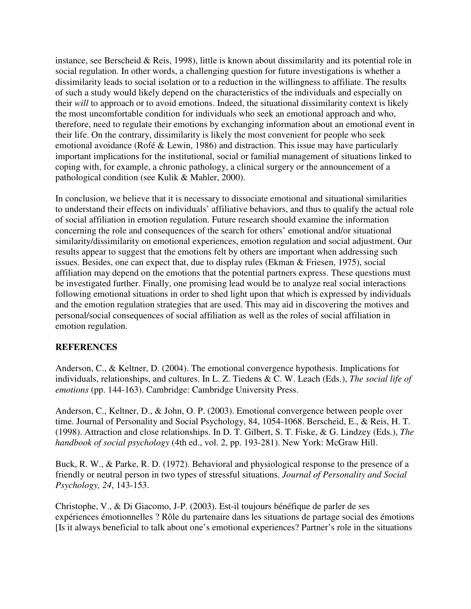instance, see Berscheid & Reis, 1998), little is known about dissimilarity and its potential role in social regulation. In other words, a challenging question for future investigations is whether a dissimilarity leads to social isolation or to a reduction in the willingness to affiliate. The results of such a study would likely depend on the characteristics of the individuals and especially on their *will* to approach or to avoid emotions. Indeed, the situational dissimilarity context is likely the most uncomfortable condition for individuals who seek an emotional approach and who, therefore, need to regulate their emotions by exchanging information about an emotional event in their life. On the contrary, dissimilarity is likely the most convenient for people who seek emotional avoidance (Rofé & Lewin, 1986) and distraction. This issue may have particularly important implications for the institutional, social or familial management of situations linked to coping with, for example, a chronic pathology, a clinical surgery or the announcement of a pathological condition (see Kulik & Mahler, 2000).

In conclusion, we believe that it is necessary to dissociate emotional and situational similarities to understand their effects on individuals' affiliative behaviors, and thus to qualify the actual role of social affiliation in emotion regulation. Future research should examine the information concerning the role and consequences of the search for others' emotional and/or situational similarity/dissimilarity on emotional experiences, emotion regulation and social adjustment. Our results appear to suggest that the emotions felt by others are important when addressing such issues. Besides, one can expect that, due to display rules (Ekman & Friesen, 1975), social affiliation may depend on the emotions that the potential partners express. These questions must be investigated further. Finally, one promising lead would be to analyze real social interactions following emotional situations in order to shed light upon that which is expressed by individuals and the emotion regulation strategies that are used. This may aid in discovering the motives and personal/social consequences of social affiliation as well as the roles of social affiliation in emotion regulation.

## **REFERENCES**

Anderson, C., & Keltner, D. (2004). The emotional convergence hypothesis. Implications for individuals, relationships, and cultures. In L. Z. Tiedens & C. W. Leach (Eds.), *The social life of emotions* (pp. 144-163). Cambridge: Cambridge University Press.

Anderson, C., Keltner, D., & John, O. P. (2003). Emotional convergence between people over time. Journal of Personality and Social Psychology, 84, 1054-1068. Berscheid, E., & Reis, H. T. (1998). Attraction and close relationships. In D. T. Gilbert, S. T. Fiske, & G. Lindzey (Eds.), *The handbook of social psychology* (4th ed., vol. 2, pp. 193-281). New York: McGraw Hill.

Buck, R. W., & Parke, R. D. (1972). Behavioral and physiological response to the presence of a friendly or neutral person in two types of stressful situations. *Journal of Personality and Social Psychology, 24*, 143-153.

Christophe, V., & Di Giacomo, J-P. (2003). Est-il toujours bénéfique de parler de ses expériences émotionnelles ? Rôle du partenaire dans les situations de partage social des émotions [Is it always beneficial to talk about one's emotional experiences? Partner's role in the situations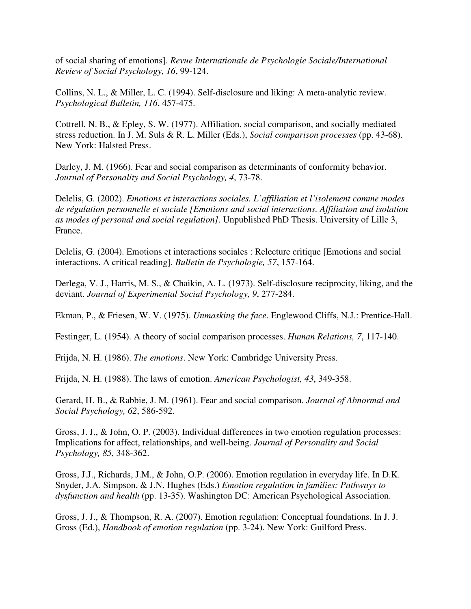of social sharing of emotions]. *Revue Internationale de Psychologie Sociale/International Review of Social Psychology, 16*, 99-124.

Collins, N. L., & Miller, L. C. (1994). Self-disclosure and liking: A meta-analytic review. *Psychological Bulletin, 116*, 457-475.

Cottrell, N. B., & Epley, S. W. (1977). Affiliation, social comparison, and socially mediated stress reduction. In J. M. Suls & R. L. Miller (Eds.), *Social comparison processes* (pp. 43-68). New York: Halsted Press.

Darley, J. M. (1966). Fear and social comparison as determinants of conformity behavior. *Journal of Personality and Social Psychology, 4*, 73-78.

Delelis, G. (2002). *Emotions et interactions sociales. L'affiliation et l'isolement comme modes de régulation personnelle et sociale [Emotions and social interactions. Affiliation and isolation as modes of personal and social regulation]*. Unpublished PhD Thesis. University of Lille 3, France.

Delelis, G. (2004). Emotions et interactions sociales : Relecture critique [Emotions and social interactions. A critical reading]. *Bulletin de Psychologie, 57*, 157-164.

Derlega, V. J., Harris, M. S., & Chaikin, A. L. (1973). Self-disclosure reciprocity, liking, and the deviant. *Journal of Experimental Social Psychology, 9*, 277-284.

Ekman, P., & Friesen, W. V. (1975). *Unmasking the face*. Englewood Cliffs, N.J.: Prentice-Hall.

Festinger, L. (1954). A theory of social comparison processes. *Human Relations, 7*, 117-140.

Frijda, N. H. (1986). *The emotions*. New York: Cambridge University Press.

Frijda, N. H. (1988). The laws of emotion. *American Psychologist, 43*, 349-358.

Gerard, H. B., & Rabbie, J. M. (1961). Fear and social comparison. *Journal of Abnormal and Social Psychology, 62*, 586-592.

Gross, J. J., & John, O. P. (2003). Individual differences in two emotion regulation processes: Implications for affect, relationships, and well-being. *Journal of Personality and Social Psychology, 85*, 348-362.

Gross, J.J., Richards, J.M., & John, O.P. (2006). Emotion regulation in everyday life. In D.K. Snyder, J.A. Simpson, & J.N. Hughes (Eds.) *Emotion regulation in families: Pathways to dysfunction and health* (pp. 13-35). Washington DC: American Psychological Association.

Gross, J. J., & Thompson, R. A. (2007). Emotion regulation: Conceptual foundations. In J. J. Gross (Ed.), *Handbook of emotion regulation* (pp. 3-24). New York: Guilford Press.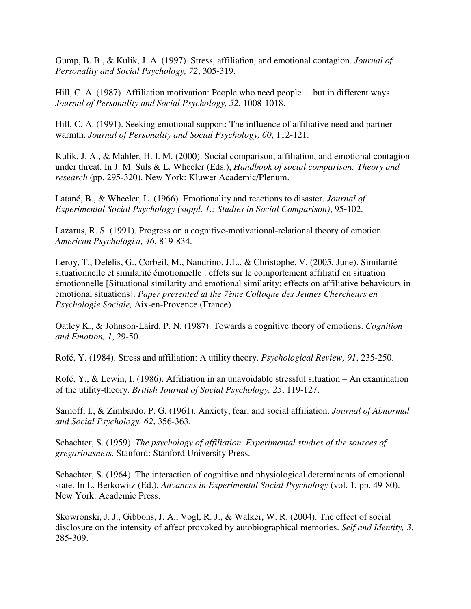Gump, B. B., & Kulik, J. A. (1997). Stress, affiliation, and emotional contagion. *Journal of Personality and Social Psychology, 72*, 305-319.

Hill, C. A. (1987). Affiliation motivation: People who need people… but in different ways. *Journal of Personality and Social Psychology, 52*, 1008-1018.

Hill, C. A. (1991). Seeking emotional support: The influence of affiliative need and partner warmth. *Journal of Personality and Social Psychology, 60*, 112-121.

Kulik, J. A., & Mahler, H. I. M. (2000). Social comparison, affiliation, and emotional contagion under threat. In J. M. Suls & L. Wheeler (Eds.), *Handbook of social comparison: Theory and research* (pp. 295-320). New York: Kluwer Academic/Plenum.

Latané, B., & Wheeler, L. (1966). Emotionality and reactions to disaster. *Journal of Experimental Social Psychology (suppl. 1.: Studies in Social Comparison)*, 95-102.

Lazarus, R. S. (1991). Progress on a cognitive-motivational-relational theory of emotion. *American Psychologist, 46*, 819-834.

Leroy, T., Delelis, G., Corbeil, M., Nandrino, J.L., & Christophe, V. (2005, June). Similarité situationnelle et similarité émotionnelle : effets sur le comportement affiliatif en situation émotionnelle [Situational similarity and emotional similarity: effects on affiliative behaviours in emotional situations]. *Paper presented at the 7ème Colloque des Jeunes Chercheurs en Psychologie Sociale,* Aix-en-Provence (France).

Oatley K., & Johnson-Laird, P. N. (1987). Towards a cognitive theory of emotions. *Cognition and Emotion, 1*, 29-50.

Rofé, Y. (1984). Stress and affiliation: A utility theory. *Psychological Review, 91*, 235-250.

Rofé, Y., & Lewin, I. (1986). Affiliation in an unavoidable stressful situation – An examination of the utility-theory. *British Journal of Social Psychology, 25*, 119-127.

Sarnoff, I., & Zimbardo, P. G. (1961). Anxiety, fear, and social affiliation. *Journal of Abnormal and Social Psychology, 62*, 356-363.

Schachter, S. (1959). *The psychology of affiliation. Experimental studies of the sources of gregariousness*. Stanford: Stanford University Press.

Schachter, S. (1964). The interaction of cognitive and physiological determinants of emotional state. In L. Berkowitz (Ed.), *Advances in Experimental Social Psychology* (vol. 1, pp. 49-80). New York: Academic Press.

Skowronski, J. J., Gibbons, J. A., Vogl, R. J., & Walker, W. R. (2004). The effect of social disclosure on the intensity of affect provoked by autobiographical memories. *Self and Identity, 3*, 285-309.